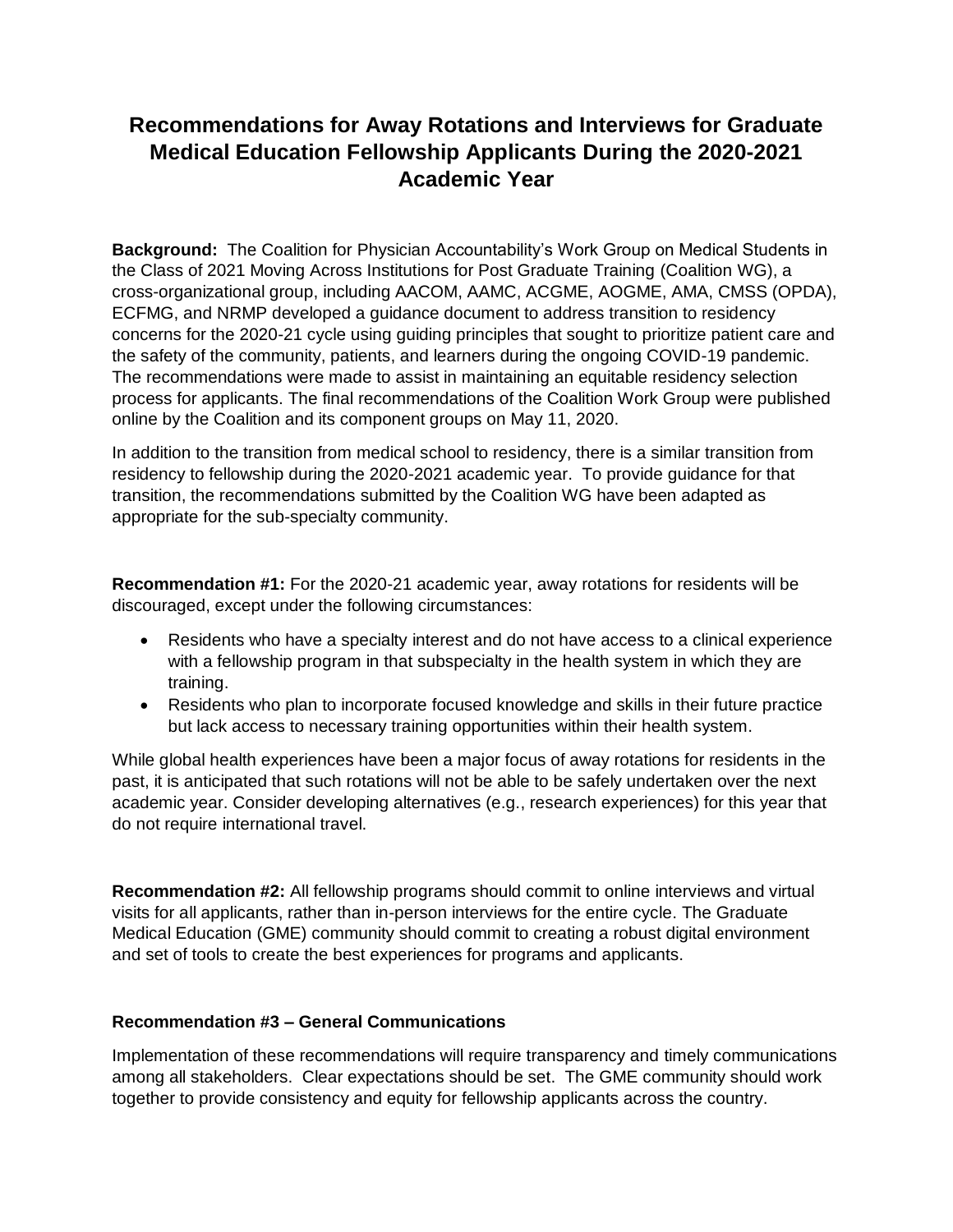## **Recommendations for Away Rotations and Interviews for Graduate Medical Education Fellowship Applicants During the 2020-2021 Academic Year**

**Background:** The Coalition for Physician Accountability's Work Group on Medical Students in the Class of 2021 Moving Across Institutions for Post Graduate Training (Coalition WG), a cross-organizational group, including AACOM, AAMC, ACGME, AOGME, AMA, CMSS (OPDA), ECFMG, and NRMP developed a guidance document to address transition to residency concerns for the 2020-21 cycle using guiding principles that sought to prioritize patient care and the safety of the community, patients, and learners during the ongoing COVID-19 pandemic. The recommendations were made to assist in maintaining an equitable residency selection process for applicants. The final recommendations of the Coalition Work Group were published online by the Coalition and its component groups on May 11, 2020.

In addition to the transition from medical school to residency, there is a similar transition from residency to fellowship during the 2020-2021 academic year. To provide guidance for that transition, the recommendations submitted by the Coalition WG have been adapted as appropriate for the sub-specialty community.

**Recommendation #1:** For the 2020-21 academic year, away rotations for residents will be discouraged, except under the following circumstances:

- Residents who have a specialty interest and do not have access to a clinical experience with a fellowship program in that subspecialty in the health system in which they are training.
- Residents who plan to incorporate focused knowledge and skills in their future practice but lack access to necessary training opportunities within their health system.

While global health experiences have been a major focus of away rotations for residents in the past, it is anticipated that such rotations will not be able to be safely undertaken over the next academic year. Consider developing alternatives (e.g., research experiences) for this year that do not require international travel.

**Recommendation #2:** All fellowship programs should commit to online interviews and virtual visits for all applicants, rather than in-person interviews for the entire cycle. The Graduate Medical Education (GME) community should commit to creating a robust digital environment and set of tools to create the best experiences for programs and applicants.

## **Recommendation #3 – General Communications**

Implementation of these recommendations will require transparency and timely communications among all stakeholders. Clear expectations should be set. The GME community should work together to provide consistency and equity for fellowship applicants across the country.